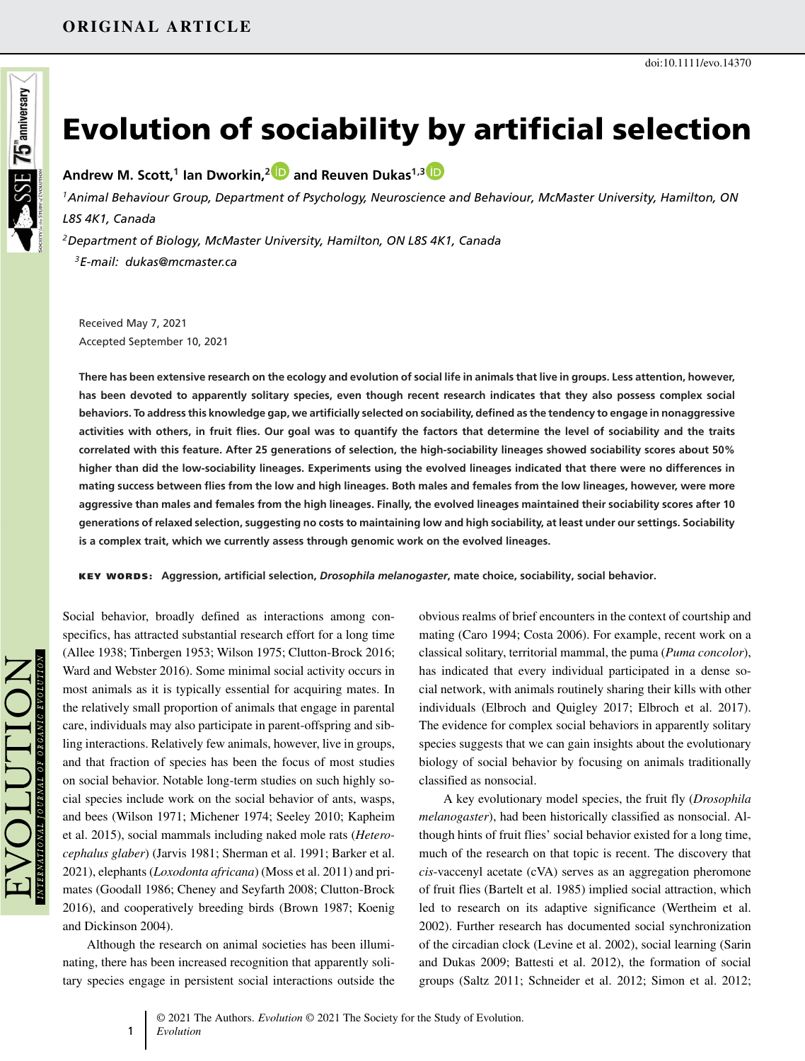# Evolution of sociability by artificial selection

**Andrew M. Scott,<sup>1</sup> Ian Dworkin,<sup>2</sup> and Reuven Dukas1,3**

*<sup>1</sup>Animal Behaviour Group, Department of Psychology, Neuroscience and Behaviour, McMaster University, Hamilton, ON L8S 4K1, Canada*

*<sup>2</sup>Department of Biology, McMaster University, Hamilton, ON L8S 4K1, Canada <sup>3</sup>E-mail: dukas@mcmaster.ca*

Received May 7, 2021 Accepted September 10, 2021

**There has been extensive research on the ecology and evolution of social life in animals that live in groups. Less attention, however, has been devoted to apparently solitary species, even though recent research indicates that they also possess complex social behaviors. To address this knowledge gap, we artificially selected on sociability, defined as the tendency to engage in nonaggressive activities with others, in fruit flies. Our goal was to quantify the factors that determine the level of sociability and the traits correlated with this feature. After 25 generations of selection, the high-sociability lineages showed sociability scores about 50% higher than did the low-sociability lineages. Experiments using the evolved lineages indicated that there were no differences in mating success between flies from the low and high lineages. Both males and females from the low lineages, however, were more aggressive than males and females from the high lineages. Finally, the evolved lineages maintained their sociability scores after 10 generations of relaxed selection, suggesting no costs to maintaining low and high sociability, at least under our settings. Sociability is a complex trait, which we currently assess through genomic work on the evolved lineages.**

KEY WORDS: **Aggression, artificial selection,** *Drosophila melanogaster***, mate choice, sociability, social behavior.**

Social behavior, broadly defined as interactions among conspecifics, has attracted substantial research effort for a long time (Allee 1938; Tinbergen 1953; Wilson 1975; Clutton-Brock 2016; Ward and Webster 2016). Some minimal social activity occurs in most animals as it is typically essential for acquiring mates. In the relatively small proportion of animals that engage in parental care, individuals may also participate in parent-offspring and sibling interactions. Relatively few animals, however, live in groups, and that fraction of species has been the focus of most studies on social behavior. Notable long-term studies on such highly social species include work on the social behavior of ants, wasps, and bees (Wilson 1971; Michener 1974; Seeley 2010; Kapheim et al. 2015), social mammals including naked mole rats (*Heterocephalus glaber*) (Jarvis 1981; Sherman et al. 1991; Barker et al. 2021), elephants (*Loxodonta africana*) (Moss et al. 2011) and primates (Goodall 1986; Cheney and Seyfarth 2008; Clutton-Brock 2016), and cooperatively breeding birds (Brown 1987; Koenig and Dickinson 2004).

Although the research on animal societies has been illuminating, there has been increased recognition that apparently solitary species engage in persistent social interactions outside the obvious realms of brief encounters in the context of courtship and mating (Caro 1994; Costa 2006). For example, recent work on a classical solitary, territorial mammal, the puma (*Puma concolor*), has indicated that every individual participated in a dense social network, with animals routinely sharing their kills with other individuals (Elbroch and Quigley 2017; Elbroch et al. 2017). The evidence for complex social behaviors in apparently solitary species suggests that we can gain insights about the evolutionary biology of social behavior by focusing on animals traditionally classified as nonsocial.

A key evolutionary model species, the fruit fly (*Drosophila melanogaster*), had been historically classified as nonsocial. Although hints of fruit flies' social behavior existed for a long time, much of the research on that topic is recent. The discovery that *cis*-vaccenyl acetate (cVA) serves as an aggregation pheromone of fruit flies (Bartelt et al. 1985) implied social attraction, which led to research on its adaptive significance (Wertheim et al. 2002). Further research has documented social synchronization of the circadian clock (Levine et al. 2002), social learning (Sarin and Dukas 2009; Battesti et al. 2012), the formation of social groups (Saltz 2011; Schneider et al. 2012; Simon et al. 2012;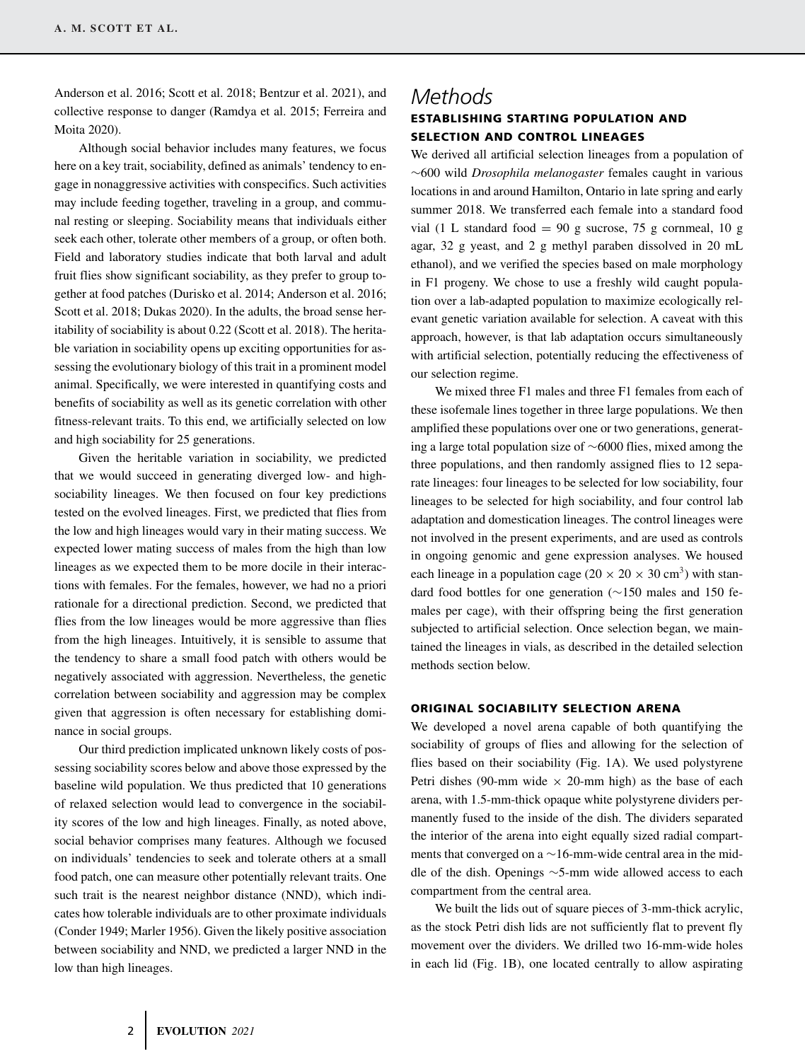Anderson et al. 2016; Scott et al. 2018; Bentzur et al. 2021), and collective response to danger (Ramdya et al. 2015; Ferreira and Moita 2020).

Although social behavior includes many features, we focus here on a key trait, sociability, defined as animals' tendency to engage in nonaggressive activities with conspecifics. Such activities may include feeding together, traveling in a group, and communal resting or sleeping. Sociability means that individuals either seek each other, tolerate other members of a group, or often both. Field and laboratory studies indicate that both larval and adult fruit flies show significant sociability, as they prefer to group together at food patches (Durisko et al. 2014; Anderson et al. 2016; Scott et al. 2018; Dukas 2020). In the adults, the broad sense heritability of sociability is about 0.22 (Scott et al. 2018). The heritable variation in sociability opens up exciting opportunities for assessing the evolutionary biology of this trait in a prominent model animal. Specifically, we were interested in quantifying costs and benefits of sociability as well as its genetic correlation with other fitness-relevant traits. To this end, we artificially selected on low and high sociability for 25 generations.

Given the heritable variation in sociability, we predicted that we would succeed in generating diverged low- and highsociability lineages. We then focused on four key predictions tested on the evolved lineages. First, we predicted that flies from the low and high lineages would vary in their mating success. We expected lower mating success of males from the high than low lineages as we expected them to be more docile in their interactions with females. For the females, however, we had no a priori rationale for a directional prediction. Second, we predicted that flies from the low lineages would be more aggressive than flies from the high lineages. Intuitively, it is sensible to assume that the tendency to share a small food patch with others would be negatively associated with aggression. Nevertheless, the genetic correlation between sociability and aggression may be complex given that aggression is often necessary for establishing dominance in social groups.

Our third prediction implicated unknown likely costs of possessing sociability scores below and above those expressed by the baseline wild population. We thus predicted that 10 generations of relaxed selection would lead to convergence in the sociability scores of the low and high lineages. Finally, as noted above, social behavior comprises many features. Although we focused on individuals' tendencies to seek and tolerate others at a small food patch, one can measure other potentially relevant traits. One such trait is the nearest neighbor distance (NND), which indicates how tolerable individuals are to other proximate individuals (Conder 1949; Marler 1956). Given the likely positive association between sociability and NND, we predicted a larger NND in the low than high lineages.

# *Methods* ESTABLISHING STARTING POPULATION AND SELECTION AND CONTROL LINEAGES

We derived all artificial selection lineages from a population of ∼600 wild *Drosophila melanogaster* females caught in various locations in and around Hamilton, Ontario in late spring and early summer 2018. We transferred each female into a standard food vial (1 L standard food  $= 90$  g sucrose, 75 g cornmeal, 10 g agar, 32 g yeast, and 2 g methyl paraben dissolved in 20 mL ethanol), and we verified the species based on male morphology in F1 progeny. We chose to use a freshly wild caught population over a lab-adapted population to maximize ecologically relevant genetic variation available for selection. A caveat with this approach, however, is that lab adaptation occurs simultaneously with artificial selection, potentially reducing the effectiveness of our selection regime.

We mixed three F1 males and three F1 females from each of these isofemale lines together in three large populations. We then amplified these populations over one or two generations, generating a large total population size of ∼6000 flies, mixed among the three populations, and then randomly assigned flies to 12 separate lineages: four lineages to be selected for low sociability, four lineages to be selected for high sociability, and four control lab adaptation and domestication lineages. The control lineages were not involved in the present experiments, and are used as controls in ongoing genomic and gene expression analyses. We housed each lineage in a population cage  $(20 \times 20 \times 30 \text{ cm}^3)$  with standard food bottles for one generation (∼150 males and 150 females per cage), with their offspring being the first generation subjected to artificial selection. Once selection began, we maintained the lineages in vials, as described in the detailed selection methods section below.

## ORIGINAL SOCIABILITY SELECTION ARENA

We developed a novel arena capable of both quantifying the sociability of groups of flies and allowing for the selection of flies based on their sociability (Fig. 1A). We used polystyrene Petri dishes (90-mm wide  $\times$  20-mm high) as the base of each arena, with 1.5-mm-thick opaque white polystyrene dividers permanently fused to the inside of the dish. The dividers separated the interior of the arena into eight equally sized radial compartments that converged on a ∼16-mm-wide central area in the middle of the dish. Openings ∼5-mm wide allowed access to each compartment from the central area.

We built the lids out of square pieces of 3-mm-thick acrylic, as the stock Petri dish lids are not sufficiently flat to prevent fly movement over the dividers. We drilled two 16-mm-wide holes in each lid (Fig. 1B), one located centrally to allow aspirating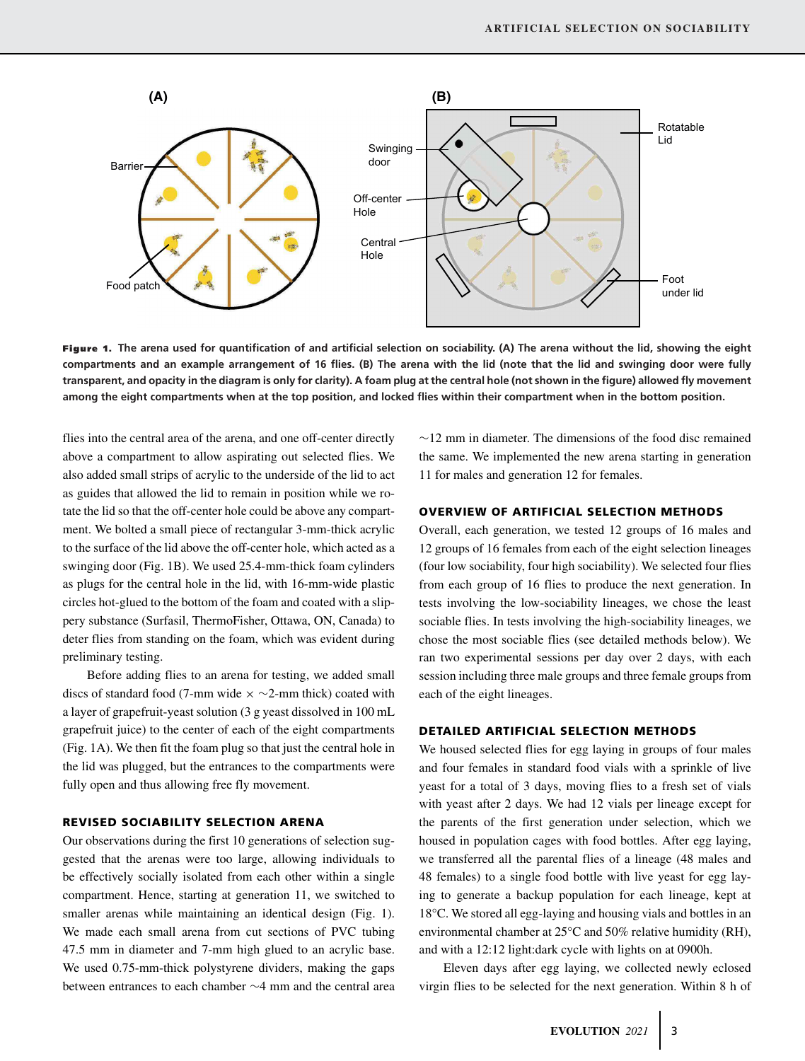

Figure 1. **The arena used for quantification of and artificial selection on sociability. (A) The arena without the lid, showing the eight compartments and an example arrangement of 16 flies. (B) The arena with the lid (note that the lid and swinging door were fully transparent, and opacity in the diagram is only for clarity). A foam plug at the central hole (not shown in the figure) allowed fly movement among the eight compartments when at the top position, and locked flies within their compartment when in the bottom position.**

flies into the central area of the arena, and one off-center directly above a compartment to allow aspirating out selected flies. We also added small strips of acrylic to the underside of the lid to act as guides that allowed the lid to remain in position while we rotate the lid so that the off-center hole could be above any compartment. We bolted a small piece of rectangular 3-mm-thick acrylic to the surface of the lid above the off-center hole, which acted as a swinging door (Fig. 1B). We used 25.4-mm-thick foam cylinders as plugs for the central hole in the lid, with 16-mm-wide plastic circles hot-glued to the bottom of the foam and coated with a slippery substance (Surfasil, ThermoFisher, Ottawa, ON, Canada) to deter flies from standing on the foam, which was evident during preliminary testing.

Before adding flies to an arena for testing, we added small discs of standard food (7-mm wide  $\times \sim$ 2-mm thick) coated with a layer of grapefruit-yeast solution (3 g yeast dissolved in 100 mL grapefruit juice) to the center of each of the eight compartments (Fig. 1A). We then fit the foam plug so that just the central hole in the lid was plugged, but the entrances to the compartments were fully open and thus allowing free fly movement.

### REVISED SOCIABILITY SELECTION ARENA

Our observations during the first 10 generations of selection suggested that the arenas were too large, allowing individuals to be effectively socially isolated from each other within a single compartment. Hence, starting at generation 11, we switched to smaller arenas while maintaining an identical design (Fig. 1). We made each small arena from cut sections of PVC tubing 47.5 mm in diameter and 7-mm high glued to an acrylic base. We used 0.75-mm-thick polystyrene dividers, making the gaps between entrances to each chamber ∼4 mm and the central area ∼12 mm in diameter. The dimensions of the food disc remained the same. We implemented the new arena starting in generation 11 for males and generation 12 for females.

### OVERVIEW OF ARTIFICIAL SELECTION METHODS

Overall, each generation, we tested 12 groups of 16 males and 12 groups of 16 females from each of the eight selection lineages (four low sociability, four high sociability). We selected four flies from each group of 16 flies to produce the next generation. In tests involving the low-sociability lineages, we chose the least sociable flies. In tests involving the high-sociability lineages, we chose the most sociable flies (see detailed methods below). We ran two experimental sessions per day over 2 days, with each session including three male groups and three female groups from each of the eight lineages.

### DETAILED ARTIFICIAL SELECTION METHODS

We housed selected flies for egg laying in groups of four males and four females in standard food vials with a sprinkle of live yeast for a total of 3 days, moving flies to a fresh set of vials with yeast after 2 days. We had 12 vials per lineage except for the parents of the first generation under selection, which we housed in population cages with food bottles. After egg laying, we transferred all the parental flies of a lineage (48 males and 48 females) to a single food bottle with live yeast for egg laying to generate a backup population for each lineage, kept at 18°C. We stored all egg-laying and housing vials and bottles in an environmental chamber at 25°C and 50% relative humidity (RH), and with a 12:12 light:dark cycle with lights on at 0900h.

Eleven days after egg laying, we collected newly eclosed virgin flies to be selected for the next generation. Within 8 h of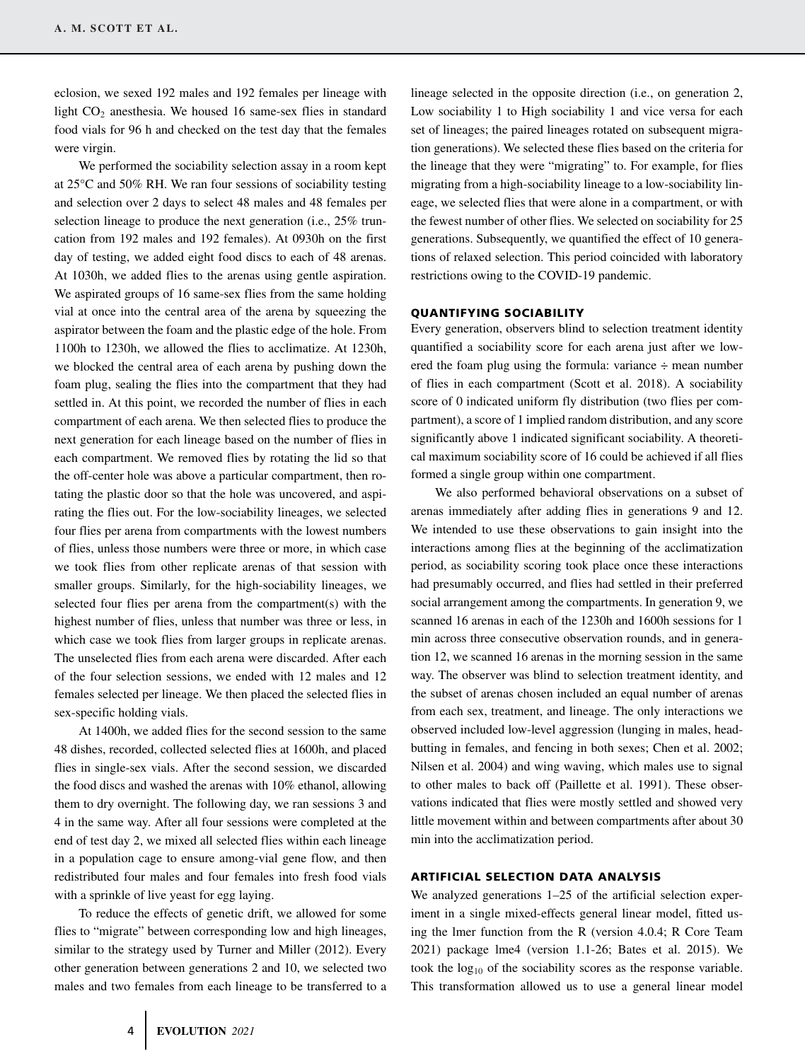eclosion, we sexed 192 males and 192 females per lineage with light CO<sub>2</sub> anesthesia. We housed 16 same-sex flies in standard food vials for 96 h and checked on the test day that the females were virgin.

We performed the sociability selection assay in a room kept at 25°C and 50% RH. We ran four sessions of sociability testing and selection over 2 days to select 48 males and 48 females per selection lineage to produce the next generation (i.e., 25% truncation from 192 males and 192 females). At 0930h on the first day of testing, we added eight food discs to each of 48 arenas. At 1030h, we added flies to the arenas using gentle aspiration. We aspirated groups of 16 same-sex flies from the same holding vial at once into the central area of the arena by squeezing the aspirator between the foam and the plastic edge of the hole. From 1100h to 1230h, we allowed the flies to acclimatize. At 1230h, we blocked the central area of each arena by pushing down the foam plug, sealing the flies into the compartment that they had settled in. At this point, we recorded the number of flies in each compartment of each arena. We then selected flies to produce the next generation for each lineage based on the number of flies in each compartment. We removed flies by rotating the lid so that the off-center hole was above a particular compartment, then rotating the plastic door so that the hole was uncovered, and aspirating the flies out. For the low-sociability lineages, we selected four flies per arena from compartments with the lowest numbers of flies, unless those numbers were three or more, in which case we took flies from other replicate arenas of that session with smaller groups. Similarly, for the high-sociability lineages, we selected four flies per arena from the compartment(s) with the highest number of flies, unless that number was three or less, in which case we took flies from larger groups in replicate arenas. The unselected flies from each arena were discarded. After each of the four selection sessions, we ended with 12 males and 12 females selected per lineage. We then placed the selected flies in sex-specific holding vials.

At 1400h, we added flies for the second session to the same 48 dishes, recorded, collected selected flies at 1600h, and placed flies in single-sex vials. After the second session, we discarded the food discs and washed the arenas with 10% ethanol, allowing them to dry overnight. The following day, we ran sessions 3 and 4 in the same way. After all four sessions were completed at the end of test day 2, we mixed all selected flies within each lineage in a population cage to ensure among-vial gene flow, and then redistributed four males and four females into fresh food vials with a sprinkle of live yeast for egg laying.

To reduce the effects of genetic drift, we allowed for some flies to "migrate" between corresponding low and high lineages, similar to the strategy used by Turner and Miller (2012). Every other generation between generations 2 and 10, we selected two males and two females from each lineage to be transferred to a

lineage selected in the opposite direction (i.e., on generation 2, Low sociability 1 to High sociability 1 and vice versa for each set of lineages; the paired lineages rotated on subsequent migration generations). We selected these flies based on the criteria for the lineage that they were "migrating" to. For example, for flies migrating from a high-sociability lineage to a low-sociability lineage, we selected flies that were alone in a compartment, or with the fewest number of other flies. We selected on sociability for 25 generations. Subsequently, we quantified the effect of 10 generations of relaxed selection. This period coincided with laboratory restrictions owing to the COVID-19 pandemic.

### QUANTIFYING SOCIABILITY

Every generation, observers blind to selection treatment identity quantified a sociability score for each arena just after we lowered the foam plug using the formula: variance ÷ mean number of flies in each compartment (Scott et al. 2018). A sociability score of 0 indicated uniform fly distribution (two flies per compartment), a score of 1 implied random distribution, and any score significantly above 1 indicated significant sociability. A theoretical maximum sociability score of 16 could be achieved if all flies formed a single group within one compartment.

We also performed behavioral observations on a subset of arenas immediately after adding flies in generations 9 and 12. We intended to use these observations to gain insight into the interactions among flies at the beginning of the acclimatization period, as sociability scoring took place once these interactions had presumably occurred, and flies had settled in their preferred social arrangement among the compartments. In generation 9, we scanned 16 arenas in each of the 1230h and 1600h sessions for 1 min across three consecutive observation rounds, and in generation 12, we scanned 16 arenas in the morning session in the same way. The observer was blind to selection treatment identity, and the subset of arenas chosen included an equal number of arenas from each sex, treatment, and lineage. The only interactions we observed included low-level aggression (lunging in males, headbutting in females, and fencing in both sexes; Chen et al. 2002; Nilsen et al. 2004) and wing waving, which males use to signal to other males to back off (Paillette et al. 1991). These observations indicated that flies were mostly settled and showed very little movement within and between compartments after about 30 min into the acclimatization period.

### ARTIFICIAL SELECTION DATA ANALYSIS

We analyzed generations 1–25 of the artificial selection experiment in a single mixed-effects general linear model, fitted using the lmer function from the R (version 4.0.4; R Core Team 2021) package lme4 (version 1.1-26; Bates et al. 2015). We took the  $log_{10}$  of the sociability scores as the response variable. This transformation allowed us to use a general linear model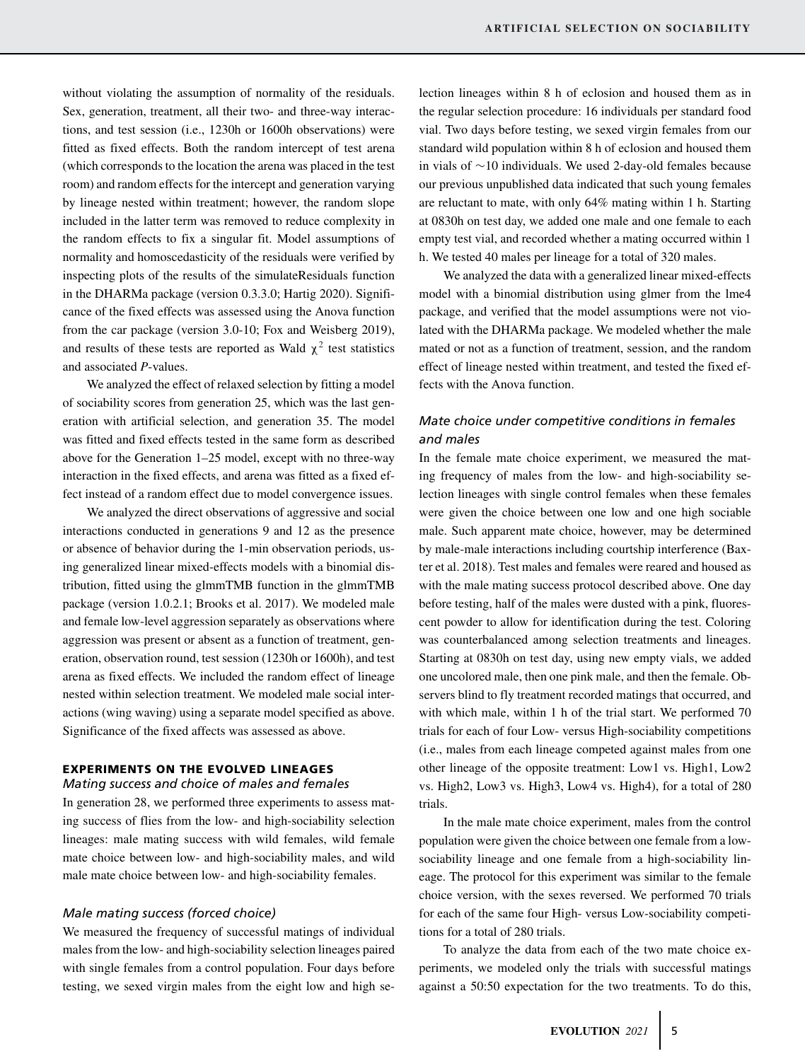without violating the assumption of normality of the residuals. Sex, generation, treatment, all their two- and three-way interactions, and test session (i.e., 1230h or 1600h observations) were fitted as fixed effects. Both the random intercept of test arena (which corresponds to the location the arena was placed in the test room) and random effects for the intercept and generation varying by lineage nested within treatment; however, the random slope included in the latter term was removed to reduce complexity in the random effects to fix a singular fit. Model assumptions of normality and homoscedasticity of the residuals were verified by inspecting plots of the results of the simulateResiduals function in the DHARMa package (version 0.3.3.0; Hartig 2020). Significance of the fixed effects was assessed using the Anova function from the car package (version 3.0-10; Fox and Weisberg 2019), and results of these tests are reported as Wald  $\chi^2$  test statistics and associated *P*-values.

We analyzed the effect of relaxed selection by fitting a model of sociability scores from generation 25, which was the last generation with artificial selection, and generation 35. The model was fitted and fixed effects tested in the same form as described above for the Generation 1–25 model, except with no three-way interaction in the fixed effects, and arena was fitted as a fixed effect instead of a random effect due to model convergence issues.

We analyzed the direct observations of aggressive and social interactions conducted in generations 9 and 12 as the presence or absence of behavior during the 1-min observation periods, using generalized linear mixed-effects models with a binomial distribution, fitted using the glmmTMB function in the glmmTMB package (version 1.0.2.1; Brooks et al. 2017). We modeled male and female low-level aggression separately as observations where aggression was present or absent as a function of treatment, generation, observation round, test session (1230h or 1600h), and test arena as fixed effects. We included the random effect of lineage nested within selection treatment. We modeled male social interactions (wing waving) using a separate model specified as above. Significance of the fixed affects was assessed as above.

## EXPERIMENTS ON THE EVOLVED LINEAGES

### *Mating success and choice of males and females*

In generation 28, we performed three experiments to assess mating success of flies from the low- and high-sociability selection lineages: male mating success with wild females, wild female mate choice between low- and high-sociability males, and wild male mate choice between low- and high-sociability females.

### *Male mating success (forced choice)*

We measured the frequency of successful matings of individual males from the low- and high-sociability selection lineages paired with single females from a control population. Four days before testing, we sexed virgin males from the eight low and high selection lineages within 8 h of eclosion and housed them as in the regular selection procedure: 16 individuals per standard food vial. Two days before testing, we sexed virgin females from our standard wild population within 8 h of eclosion and housed them in vials of ∼10 individuals. We used 2-day-old females because our previous unpublished data indicated that such young females are reluctant to mate, with only 64% mating within 1 h. Starting at 0830h on test day, we added one male and one female to each empty test vial, and recorded whether a mating occurred within 1 h. We tested 40 males per lineage for a total of 320 males.

We analyzed the data with a generalized linear mixed-effects model with a binomial distribution using glmer from the lme4 package, and verified that the model assumptions were not violated with the DHARMa package. We modeled whether the male mated or not as a function of treatment, session, and the random effect of lineage nested within treatment, and tested the fixed effects with the Anova function.

# *Mate choice under competitive conditions in females and males*

In the female mate choice experiment, we measured the mating frequency of males from the low- and high-sociability selection lineages with single control females when these females were given the choice between one low and one high sociable male. Such apparent mate choice, however, may be determined by male-male interactions including courtship interference (Baxter et al. 2018). Test males and females were reared and housed as with the male mating success protocol described above. One day before testing, half of the males were dusted with a pink, fluorescent powder to allow for identification during the test. Coloring was counterbalanced among selection treatments and lineages. Starting at 0830h on test day, using new empty vials, we added one uncolored male, then one pink male, and then the female. Observers blind to fly treatment recorded matings that occurred, and with which male, within 1 h of the trial start. We performed 70 trials for each of four Low- versus High-sociability competitions (i.e., males from each lineage competed against males from one other lineage of the opposite treatment: Low1 vs. High1, Low2 vs. High2, Low3 vs. High3, Low4 vs. High4), for a total of 280 trials.

In the male mate choice experiment, males from the control population were given the choice between one female from a lowsociability lineage and one female from a high-sociability lineage. The protocol for this experiment was similar to the female choice version, with the sexes reversed. We performed 70 trials for each of the same four High- versus Low-sociability competitions for a total of 280 trials.

To analyze the data from each of the two mate choice experiments, we modeled only the trials with successful matings against a 50:50 expectation for the two treatments. To do this,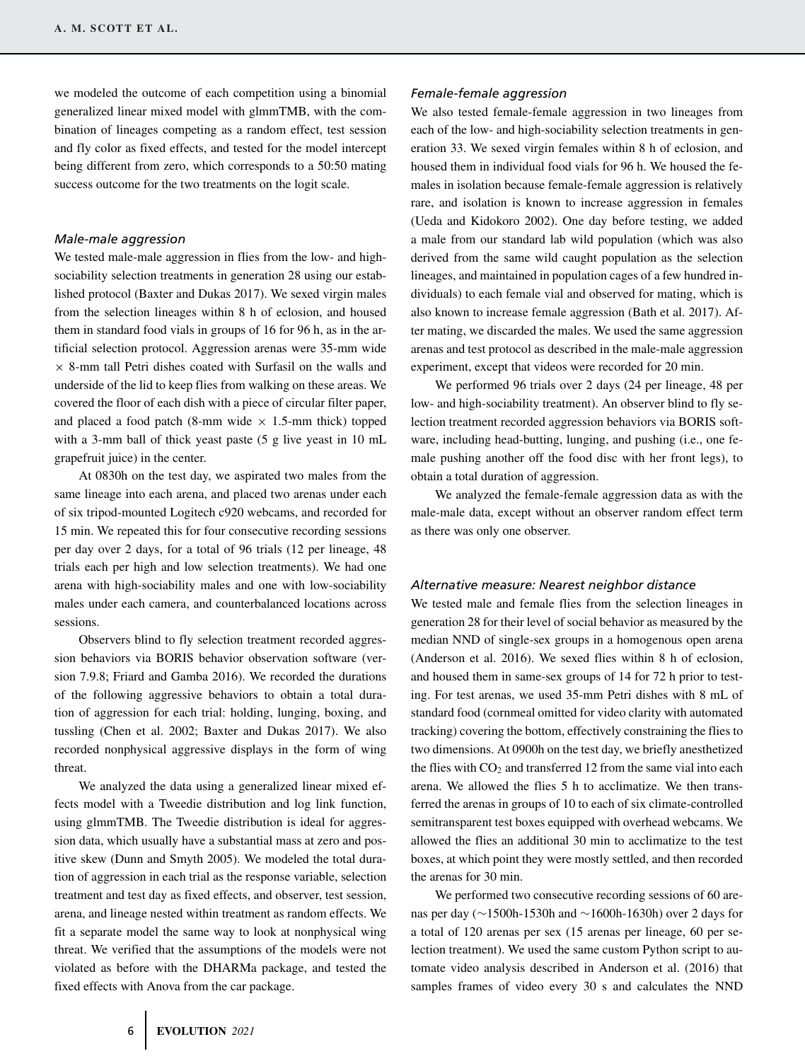we modeled the outcome of each competition using a binomial generalized linear mixed model with glmmTMB, with the combination of lineages competing as a random effect, test session and fly color as fixed effects, and tested for the model intercept being different from zero, which corresponds to a 50:50 mating success outcome for the two treatments on the logit scale.

### *Male-male aggression*

We tested male-male aggression in flies from the low- and highsociability selection treatments in generation 28 using our established protocol (Baxter and Dukas 2017). We sexed virgin males from the selection lineages within 8 h of eclosion, and housed them in standard food vials in groups of 16 for 96 h, as in the artificial selection protocol. Aggression arenas were 35-mm wide  $\times$  8-mm tall Petri dishes coated with Surfasil on the walls and underside of the lid to keep flies from walking on these areas. We covered the floor of each dish with a piece of circular filter paper, and placed a food patch (8-mm wide  $\times$  1.5-mm thick) topped with a 3-mm ball of thick yeast paste (5 g live yeast in 10 mL grapefruit juice) in the center.

At 0830h on the test day, we aspirated two males from the same lineage into each arena, and placed two arenas under each of six tripod-mounted Logitech c920 webcams, and recorded for 15 min. We repeated this for four consecutive recording sessions per day over 2 days, for a total of 96 trials (12 per lineage, 48 trials each per high and low selection treatments). We had one arena with high-sociability males and one with low-sociability males under each camera, and counterbalanced locations across sessions.

Observers blind to fly selection treatment recorded aggression behaviors via BORIS behavior observation software (version 7.9.8; Friard and Gamba 2016). We recorded the durations of the following aggressive behaviors to obtain a total duration of aggression for each trial: holding, lunging, boxing, and tussling (Chen et al. 2002; Baxter and Dukas 2017). We also recorded nonphysical aggressive displays in the form of wing threat.

We analyzed the data using a generalized linear mixed effects model with a Tweedie distribution and log link function, using glmmTMB. The Tweedie distribution is ideal for aggression data, which usually have a substantial mass at zero and positive skew (Dunn and Smyth 2005). We modeled the total duration of aggression in each trial as the response variable, selection treatment and test day as fixed effects, and observer, test session, arena, and lineage nested within treatment as random effects. We fit a separate model the same way to look at nonphysical wing threat. We verified that the assumptions of the models were not violated as before with the DHARMa package, and tested the fixed effects with Anova from the car package.

### *Female-female aggression*

We also tested female-female aggression in two lineages from each of the low- and high-sociability selection treatments in generation 33. We sexed virgin females within 8 h of eclosion, and housed them in individual food vials for 96 h. We housed the females in isolation because female-female aggression is relatively rare, and isolation is known to increase aggression in females (Ueda and Kidokoro 2002). One day before testing, we added a male from our standard lab wild population (which was also derived from the same wild caught population as the selection lineages, and maintained in population cages of a few hundred individuals) to each female vial and observed for mating, which is also known to increase female aggression (Bath et al. 2017). After mating, we discarded the males. We used the same aggression arenas and test protocol as described in the male-male aggression experiment, except that videos were recorded for 20 min.

We performed 96 trials over 2 days (24 per lineage, 48 per low- and high-sociability treatment). An observer blind to fly selection treatment recorded aggression behaviors via BORIS software, including head-butting, lunging, and pushing (i.e., one female pushing another off the food disc with her front legs), to obtain a total duration of aggression.

We analyzed the female-female aggression data as with the male-male data, except without an observer random effect term as there was only one observer.

### *Alternative measure: Nearest neighbor distance*

We tested male and female flies from the selection lineages in generation 28 for their level of social behavior as measured by the median NND of single-sex groups in a homogenous open arena (Anderson et al. 2016). We sexed flies within 8 h of eclosion, and housed them in same-sex groups of 14 for 72 h prior to testing. For test arenas, we used 35-mm Petri dishes with 8 mL of standard food (cornmeal omitted for video clarity with automated tracking) covering the bottom, effectively constraining the flies to two dimensions. At 0900h on the test day, we briefly anesthetized the flies with  $CO<sub>2</sub>$  and transferred 12 from the same vial into each arena. We allowed the flies 5 h to acclimatize. We then transferred the arenas in groups of 10 to each of six climate-controlled semitransparent test boxes equipped with overhead webcams. We allowed the flies an additional 30 min to acclimatize to the test boxes, at which point they were mostly settled, and then recorded the arenas for 30 min.

We performed two consecutive recording sessions of 60 arenas per day (∼1500h-1530h and ∼1600h-1630h) over 2 days for a total of 120 arenas per sex (15 arenas per lineage, 60 per selection treatment). We used the same custom Python script to automate video analysis described in Anderson et al. (2016) that samples frames of video every 30 s and calculates the NND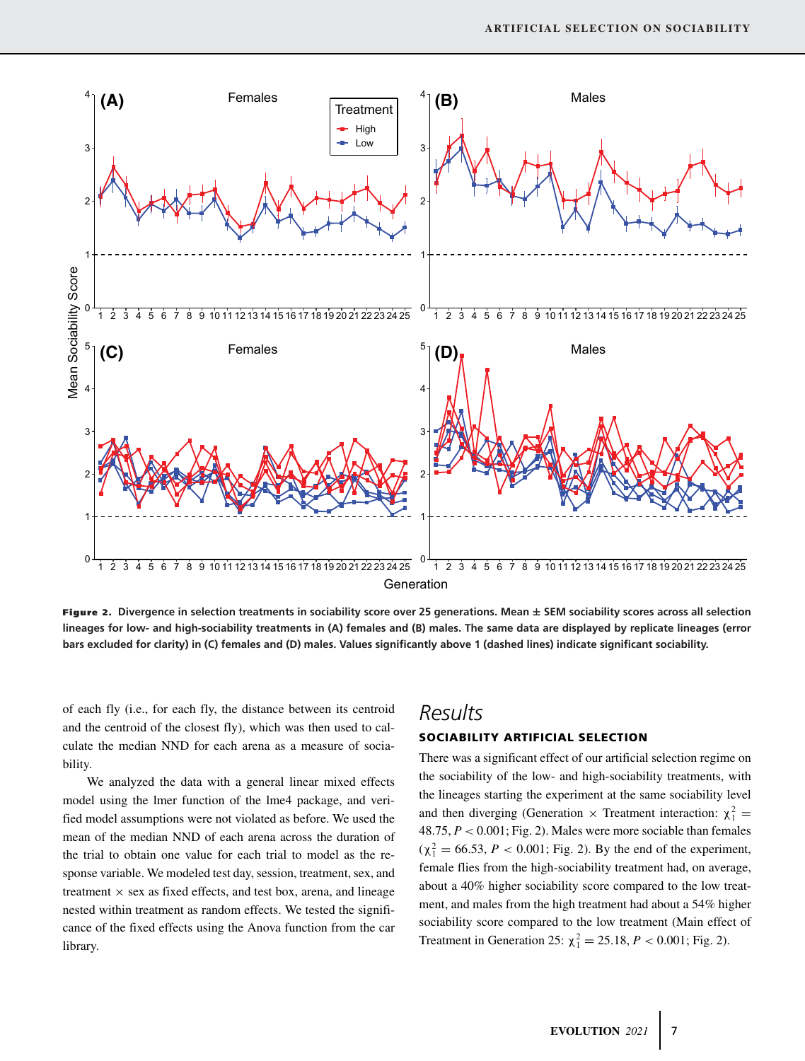

Figure 2. **Divergence in selection treatments in sociability score over 25 generations. Mean** ± **SEM sociability scores across all selection lineages for low- and high-sociability treatments in (A) females and (B) males. The same data are displayed by replicate lineages (error bars excluded for clarity) in (C) females and (D) males. Values significantly above 1 (dashed lines) indicate significant sociability.**

of each fly (i.e., for each fly, the distance between its centroid and the centroid of the closest fly), which was then used to calculate the median NND for each arena as a measure of sociability.

We analyzed the data with a general linear mixed effects model using the lmer function of the lme4 package, and verified model assumptions were not violated as before. We used the mean of the median NND of each arena across the duration of the trial to obtain one value for each trial to model as the response variable. We modeled test day, session, treatment, sex, and treatment  $\times$  sex as fixed effects, and test box, arena, and lineage nested within treatment as random effects. We tested the significance of the fixed effects using the Anova function from the car library.

# *Results*

### SOCIABILITY ARTIFICIAL SELECTION

There was a significant effect of our artificial selection regime on the sociability of the low- and high-sociability treatments, with the lineages starting the experiment at the same sociability level and then diverging (Generation  $\times$  Treatment interaction:  $\chi_1^2$  = 48.75, *P* < 0.001; Fig. 2). Males were more sociable than females  $(\chi_1^2 = 66.53, P < 0.001;$  Fig. 2). By the end of the experiment, female flies from the high-sociability treatment had, on average, about a 40% higher sociability score compared to the low treatment, and males from the high treatment had about a 54% higher sociability score compared to the low treatment (Main effect of Treatment in Generation 25:  $\chi_1^2 = 25.18$ ,  $P < 0.001$ ; Fig. 2).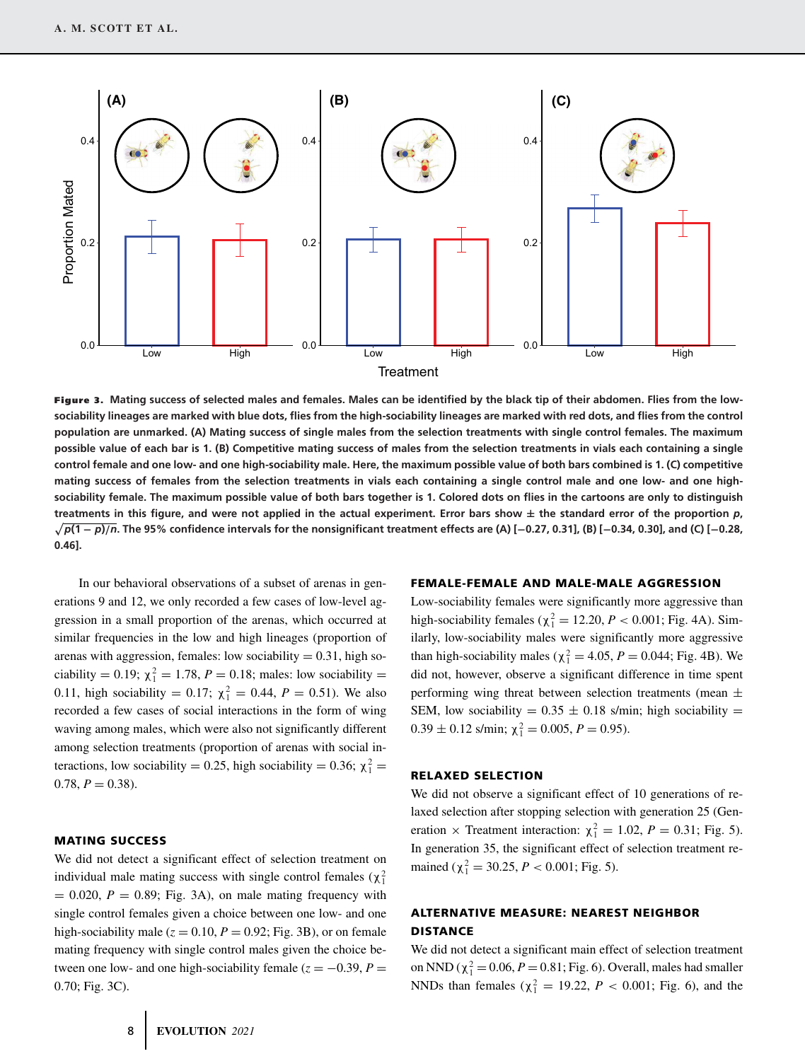

Figure 3. **Mating success of selected males and females. Males can be identified by the black tip of their abdomen. Flies from the lowsociability lineages are marked with blue dots, flies from the high-sociability lineages are marked with red dots, and flies from the control population are unmarked. (A) Mating success of single males from the selection treatments with single control females. The maximum possible value of each bar is 1. (B) Competitive mating success of males from the selection treatments in vials each containing a single control female and one low- and one high-sociability male. Here, the maximum possible value of both bars combined is 1. (C) competitive mating success of females from the selection treatments in vials each containing a single control male and one low- and one highsociability female. The maximum possible value of both bars together is 1. Colored dots on flies in the cartoons are only to distinguish** treatments in this figure, and were not applied in the actual experiment. Error bars show  $\pm$  the standard error of the proportion  $p$ , - *p***(1** − *p***)**/*n***. The 95% confidence intervals for the nonsignificant treatment effects are (A) [**−**0.27, 0.31], (B) [**−**0.34, 0.30], and (C) [**−**0.28, 0.46].**

In our behavioral observations of a subset of arenas in generations 9 and 12, we only recorded a few cases of low-level aggression in a small proportion of the arenas, which occurred at similar frequencies in the low and high lineages (proportion of arenas with aggression, females: low sociability  $= 0.31$ , high sociability = 0.19;  $\chi_1^2 = 1.78$ ,  $P = 0.18$ ; males: low sociability = 0.11, high sociability = 0.17;  $\chi_1^2 = 0.44$ ,  $P = 0.51$ ). We also recorded a few cases of social interactions in the form of wing waving among males, which were also not significantly different among selection treatments (proportion of arenas with social interactions, low sociability = 0.25, high sociability = 0.36;  $\chi_1^2$  =  $0.78, P = 0.38$ .

### MATING SUCCESS

We did not detect a significant effect of selection treatment on individual male mating success with single control females  $(\chi_1^2)$  $= 0.020$ ,  $P = 0.89$ ; Fig. 3A), on male mating frequency with single control females given a choice between one low- and one high-sociability male ( $z = 0.10$ ,  $P = 0.92$ ; Fig. 3B), or on female mating frequency with single control males given the choice between one low- and one high-sociability female ( $z = -0.39$ ,  $P =$ 0.70; Fig. 3C).

#### FEMALE-FEMALE AND MALE-MALE AGGRESSION

Low-sociability females were significantly more aggressive than high-sociability females ( $\chi_1^2 = 12.20$ ,  $P < 0.001$ ; Fig. 4A). Similarly, low-sociability males were significantly more aggressive than high-sociability males ( $\chi_1^2 = 4.05$ ,  $P = 0.044$ ; Fig. 4B). We did not, however, observe a significant difference in time spent performing wing threat between selection treatments (mean  $\pm$ SEM, low sociability =  $0.35 \pm 0.18$  s/min; high sociability =  $0.39 \pm 0.12$  s/min;  $\chi_1^2 = 0.005$ ,  $P = 0.95$ ).

### RELAXED SELECTION

We did not observe a significant effect of 10 generations of relaxed selection after stopping selection with generation 25 (Generation  $\times$  Treatment interaction:  $\chi_1^2 = 1.02$ ,  $P = 0.31$ ; Fig. 5). In generation 35, the significant effect of selection treatment remained ( $\chi_1^2 = 30.25$ ,  $P < 0.001$ ; Fig. 5).

# ALTERNATIVE MEASURE: NEAREST NEIGHBOR DISTANCE

We did not detect a significant main effect of selection treatment on NND ( $\chi_1^2 = 0.06$ ,  $P = 0.81$ ; Fig. 6). Overall, males had smaller NNDs than females ( $\chi_1^2 = 19.22$ ,  $P < 0.001$ ; Fig. 6), and the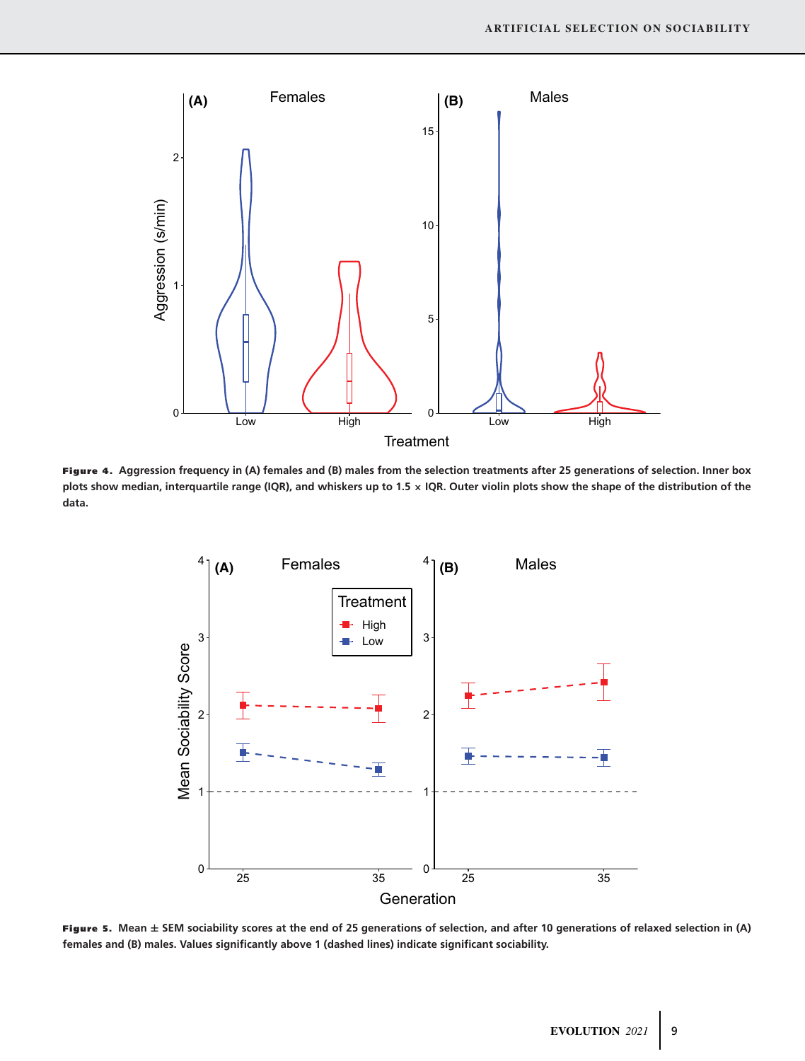

Figure 4. **Aggression frequency in (A) females and (B) males from the selection treatments after 25 generations of selection. Inner box plots show median, interquartile range (IQR), and whiskers up to 1.5** × **IQR. Outer violin plots show the shape of the distribution of the data.**



Figure 5. **Mean** ± **SEM sociability scores at the end of 25 generations of selection, and after 10 generations of relaxed selection in (A) females and (B) males. Values significantly above 1 (dashed lines) indicate significant sociability.**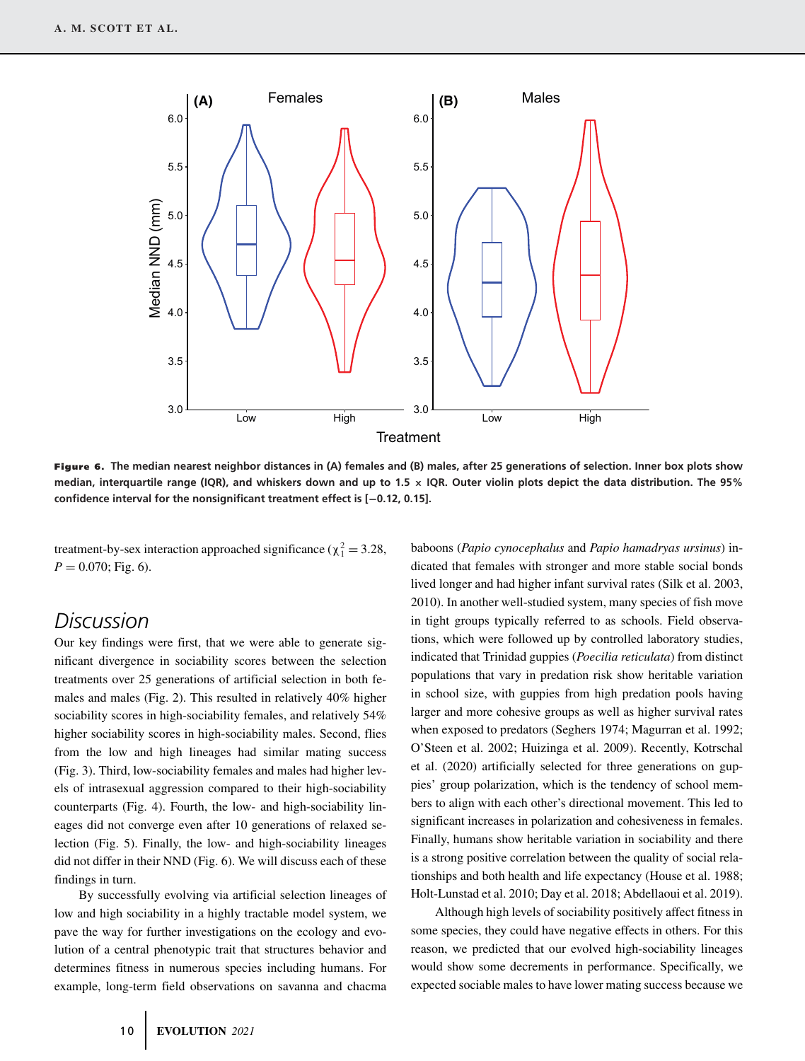

Figure 6. **The median nearest neighbor distances in (A) females and (B) males, after 25 generations of selection. Inner box plots show median, interquartile range (IQR), and whiskers down and up to 1.5** × **IQR. Outer violin plots depict the data distribution. The 95% confidence interval for the nonsignificant treatment effect is [**−**0.12, 0.15].**

treatment-by-sex interaction approached significance ( $\chi_1^2 = 3.28$ ,  $P = 0.070$ ; Fig. 6).

# *Discussion*

Our key findings were first, that we were able to generate significant divergence in sociability scores between the selection treatments over 25 generations of artificial selection in both females and males (Fig. 2). This resulted in relatively 40% higher sociability scores in high-sociability females, and relatively 54% higher sociability scores in high-sociability males. Second, flies from the low and high lineages had similar mating success (Fig. 3). Third, low-sociability females and males had higher levels of intrasexual aggression compared to their high-sociability counterparts (Fig. 4). Fourth, the low- and high-sociability lineages did not converge even after 10 generations of relaxed selection (Fig. 5). Finally, the low- and high-sociability lineages did not differ in their NND (Fig. 6). We will discuss each of these findings in turn.

By successfully evolving via artificial selection lineages of low and high sociability in a highly tractable model system, we pave the way for further investigations on the ecology and evolution of a central phenotypic trait that structures behavior and determines fitness in numerous species including humans. For example, long-term field observations on savanna and chacma baboons (*Papio cynocephalus* and *Papio hamadryas ursinus*) indicated that females with stronger and more stable social bonds lived longer and had higher infant survival rates (Silk et al. 2003, 2010). In another well-studied system, many species of fish move in tight groups typically referred to as schools. Field observations, which were followed up by controlled laboratory studies, indicated that Trinidad guppies (*Poecilia reticulata*) from distinct populations that vary in predation risk show heritable variation in school size, with guppies from high predation pools having larger and more cohesive groups as well as higher survival rates when exposed to predators (Seghers 1974; Magurran et al. 1992; O'Steen et al. 2002; Huizinga et al. 2009). Recently, Kotrschal et al. (2020) artificially selected for three generations on guppies' group polarization, which is the tendency of school members to align with each other's directional movement. This led to significant increases in polarization and cohesiveness in females. Finally, humans show heritable variation in sociability and there is a strong positive correlation between the quality of social relationships and both health and life expectancy (House et al. 1988; Holt-Lunstad et al. 2010; Day et al. 2018; Abdellaoui et al. 2019).

Although high levels of sociability positively affect fitness in some species, they could have negative effects in others. For this reason, we predicted that our evolved high-sociability lineages would show some decrements in performance. Specifically, we expected sociable males to have lower mating success because we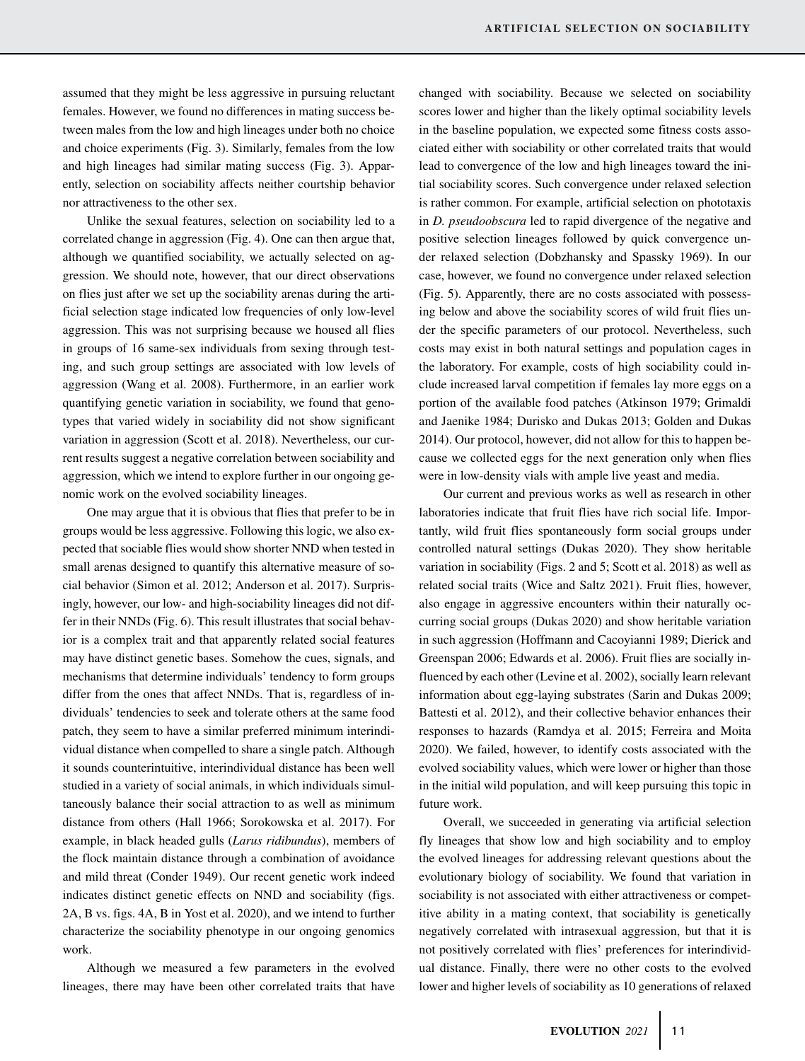assumed that they might be less aggressive in pursuing reluctant females. However, we found no differences in mating success between males from the low and high lineages under both no choice and choice experiments (Fig. 3). Similarly, females from the low and high lineages had similar mating success (Fig. 3). Apparently, selection on sociability affects neither courtship behavior nor attractiveness to the other sex.

Unlike the sexual features, selection on sociability led to a correlated change in aggression (Fig. 4). One can then argue that, although we quantified sociability, we actually selected on aggression. We should note, however, that our direct observations on flies just after we set up the sociability arenas during the artificial selection stage indicated low frequencies of only low-level aggression. This was not surprising because we housed all flies in groups of 16 same-sex individuals from sexing through testing, and such group settings are associated with low levels of aggression (Wang et al. 2008). Furthermore, in an earlier work quantifying genetic variation in sociability, we found that genotypes that varied widely in sociability did not show significant variation in aggression (Scott et al. 2018). Nevertheless, our current results suggest a negative correlation between sociability and aggression, which we intend to explore further in our ongoing genomic work on the evolved sociability lineages.

One may argue that it is obvious that flies that prefer to be in groups would be less aggressive. Following this logic, we also expected that sociable flies would show shorter NND when tested in small arenas designed to quantify this alternative measure of social behavior (Simon et al. 2012; Anderson et al. 2017). Surprisingly, however, our low- and high-sociability lineages did not differ in their NNDs (Fig. 6). This result illustrates that social behavior is a complex trait and that apparently related social features may have distinct genetic bases. Somehow the cues, signals, and mechanisms that determine individuals' tendency to form groups differ from the ones that affect NNDs. That is, regardless of individuals' tendencies to seek and tolerate others at the same food patch, they seem to have a similar preferred minimum interindividual distance when compelled to share a single patch. Although it sounds counterintuitive, interindividual distance has been well studied in a variety of social animals, in which individuals simultaneously balance their social attraction to as well as minimum distance from others (Hall 1966; Sorokowska et al. 2017). For example, in black headed gulls (*Larus ridibundus*), members of the flock maintain distance through a combination of avoidance and mild threat (Conder 1949). Our recent genetic work indeed indicates distinct genetic effects on NND and sociability (figs. 2A, B vs. figs. 4A, B in Yost et al. 2020), and we intend to further characterize the sociability phenotype in our ongoing genomics work.

Although we measured a few parameters in the evolved lineages, there may have been other correlated traits that have

changed with sociability. Because we selected on sociability scores lower and higher than the likely optimal sociability levels in the baseline population, we expected some fitness costs associated either with sociability or other correlated traits that would lead to convergence of the low and high lineages toward the initial sociability scores. Such convergence under relaxed selection is rather common. For example, artificial selection on phototaxis in *D. pseudoobscura* led to rapid divergence of the negative and positive selection lineages followed by quick convergence under relaxed selection (Dobzhansky and Spassky 1969). In our case, however, we found no convergence under relaxed selection (Fig. 5). Apparently, there are no costs associated with possessing below and above the sociability scores of wild fruit flies under the specific parameters of our protocol. Nevertheless, such costs may exist in both natural settings and population cages in the laboratory. For example, costs of high sociability could include increased larval competition if females lay more eggs on a portion of the available food patches (Atkinson 1979; Grimaldi and Jaenike 1984; Durisko and Dukas 2013; Golden and Dukas 2014). Our protocol, however, did not allow for this to happen because we collected eggs for the next generation only when flies were in low-density vials with ample live yeast and media.

Our current and previous works as well as research in other laboratories indicate that fruit flies have rich social life. Importantly, wild fruit flies spontaneously form social groups under controlled natural settings (Dukas 2020). They show heritable variation in sociability (Figs. 2 and 5; Scott et al. 2018) as well as related social traits (Wice and Saltz 2021). Fruit flies, however, also engage in aggressive encounters within their naturally occurring social groups (Dukas 2020) and show heritable variation in such aggression (Hoffmann and Cacoyianni 1989; Dierick and Greenspan 2006; Edwards et al. 2006). Fruit flies are socially influenced by each other (Levine et al. 2002), socially learn relevant information about egg-laying substrates (Sarin and Dukas 2009; Battesti et al. 2012), and their collective behavior enhances their responses to hazards (Ramdya et al. 2015; Ferreira and Moita 2020). We failed, however, to identify costs associated with the evolved sociability values, which were lower or higher than those in the initial wild population, and will keep pursuing this topic in future work.

Overall, we succeeded in generating via artificial selection fly lineages that show low and high sociability and to employ the evolved lineages for addressing relevant questions about the evolutionary biology of sociability. We found that variation in sociability is not associated with either attractiveness or competitive ability in a mating context, that sociability is genetically negatively correlated with intrasexual aggression, but that it is not positively correlated with flies' preferences for interindividual distance. Finally, there were no other costs to the evolved lower and higher levels of sociability as 10 generations of relaxed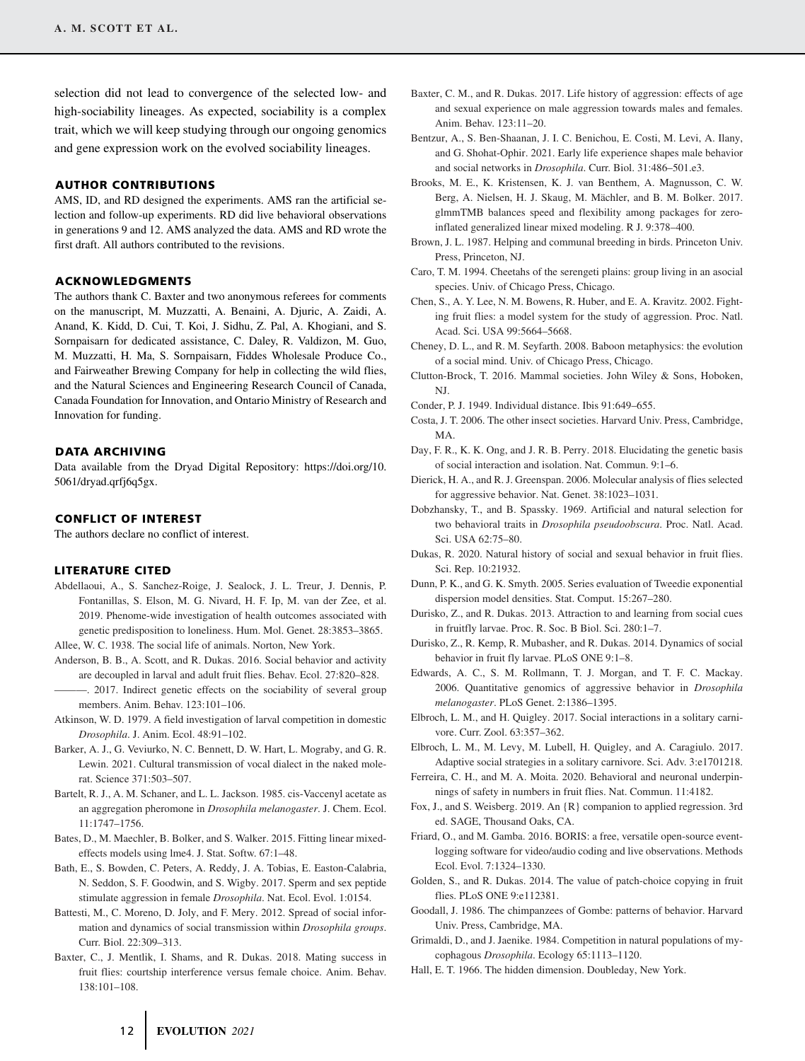selection did not lead to convergence of the selected low- and high-sociability lineages. As expected, sociability is a complex trait, which we will keep studying through our ongoing genomics and gene expression work on the evolved sociability lineages.

### AUTHOR CONTRIBUTIONS

AMS, ID, and RD designed the experiments. AMS ran the artificial selection and follow-up experiments. RD did live behavioral observations in generations 9 and 12. AMS analyzed the data. AMS and RD wrote the first draft. All authors contributed to the revisions.

### ACKNOWLEDGMENTS

The authors thank C. Baxter and two anonymous referees for comments on the manuscript, M. Muzzatti, A. Benaini, A. Djuric, A. Zaidi, A. Anand, K. Kidd, D. Cui, T. Koi, J. Sidhu, Z. Pal, A. Khogiani, and S. Sornpaisarn for dedicated assistance, C. Daley, R. Valdizon, M. Guo, M. Muzzatti, H. Ma, S. Sornpaisarn, Fiddes Wholesale Produce Co., and Fairweather Brewing Company for help in collecting the wild flies, and the Natural Sciences and Engineering Research Council of Canada, Canada Foundation for Innovation, and Ontario Ministry of Research and Innovation for funding.

#### DATA ARCHIVING

Data available from the Dryad Digital Repository: https://doi.org/10. 5061/dryad.qrfj6q5gx.

### CONFLICT OF INTEREST

The authors declare no conflict of interest.

### LITERATURE CITED

Abdellaoui, A., S. Sanchez-Roige, J. Sealock, J. L. Treur, J. Dennis, P. Fontanillas, S. Elson, M. G. Nivard, H. F. Ip, M. van der Zee, et al. 2019. Phenome-wide investigation of health outcomes associated with genetic predisposition to loneliness. Hum. Mol. Genet. 28:3853–3865.

Allee, W. C. 1938. The social life of animals. Norton, New York.

- Anderson, B. B., A. Scott, and R. Dukas. 2016. Social behavior and activity are decoupled in larval and adult fruit flies. Behav. Ecol. 27:820–828.
- ———. 2017. Indirect genetic effects on the sociability of several group members. Anim. Behav. 123:101–106.
- Atkinson, W. D. 1979. A field investigation of larval competition in domestic *Drosophila*. J. Anim. Ecol. 48:91–102.
- Barker, A. J., G. Veviurko, N. C. Bennett, D. W. Hart, L. Mograby, and G. R. Lewin. 2021. Cultural transmission of vocal dialect in the naked molerat. Science 371:503–507.
- Bartelt, R. J., A. M. Schaner, and L. L. Jackson. 1985. cis-Vaccenyl acetate as an aggregation pheromone in *Drosophila melanogaster*. J. Chem. Ecol. 11:1747–1756.
- Bates, D., M. Maechler, B. Bolker, and S. Walker. 2015. Fitting linear mixedeffects models using lme4. J. Stat. Softw. 67:1–48.
- Bath, E., S. Bowden, C. Peters, A. Reddy, J. A. Tobias, E. Easton-Calabria, N. Seddon, S. F. Goodwin, and S. Wigby. 2017. Sperm and sex peptide stimulate aggression in female *Drosophila*. Nat. Ecol. Evol. 1:0154.
- Battesti, M., C. Moreno, D. Joly, and F. Mery. 2012. Spread of social information and dynamics of social transmission within *Drosophila groups*. Curr. Biol. 22:309–313.
- Baxter, C., J. Mentlik, I. Shams, and R. Dukas. 2018. Mating success in fruit flies: courtship interference versus female choice. Anim. Behav. 138:101–108.
- Baxter, C. M., and R. Dukas. 2017. Life history of aggression: effects of age and sexual experience on male aggression towards males and females. Anim. Behav. 123:11–20.
- Bentzur, A., S. Ben-Shaanan, J. I. C. Benichou, E. Costi, M. Levi, A. Ilany, and G. Shohat-Ophir. 2021. Early life experience shapes male behavior and social networks in *Drosophila*. Curr. Biol. 31:486–501.e3.
- Brooks, M. E., K. Kristensen, K. J. van Benthem, A. Magnusson, C. W. Berg, A. Nielsen, H. J. Skaug, M. Mächler, and B. M. Bolker. 2017. glmmTMB balances speed and flexibility among packages for zeroinflated generalized linear mixed modeling. R J. 9:378–400.
- Brown, J. L. 1987. Helping and communal breeding in birds. Princeton Univ. Press, Princeton, NJ.
- Caro, T. M. 1994. Cheetahs of the serengeti plains: group living in an asocial species. Univ. of Chicago Press, Chicago.
- Chen, S., A. Y. Lee, N. M. Bowens, R. Huber, and E. A. Kravitz. 2002. Fighting fruit flies: a model system for the study of aggression. Proc. Natl. Acad. Sci. USA 99:5664–5668.
- Cheney, D. L., and R. M. Seyfarth. 2008. Baboon metaphysics: the evolution of a social mind. Univ. of Chicago Press, Chicago.
- Clutton-Brock, T. 2016. Mammal societies. John Wiley & Sons, Hoboken, NJ.
- Conder, P. J. 1949. Individual distance. Ibis 91:649–655.
- Costa, J. T. 2006. The other insect societies. Harvard Univ. Press, Cambridge, MA.
- Day, F. R., K. K. Ong, and J. R. B. Perry. 2018. Elucidating the genetic basis of social interaction and isolation. Nat. Commun. 9:1–6.
- Dierick, H. A., and R. J. Greenspan. 2006. Molecular analysis of flies selected for aggressive behavior. Nat. Genet. 38:1023–1031.
- Dobzhansky, T., and B. Spassky. 1969. Artificial and natural selection for two behavioral traits in *Drosophila pseudoobscura*. Proc. Natl. Acad. Sci. USA 62:75–80.
- Dukas, R. 2020. Natural history of social and sexual behavior in fruit flies. Sci. Rep. 10:21932.
- Dunn, P. K., and G. K. Smyth. 2005. Series evaluation of Tweedie exponential dispersion model densities. Stat. Comput. 15:267–280.
- Durisko, Z., and R. Dukas. 2013. Attraction to and learning from social cues in fruitfly larvae. Proc. R. Soc. B Biol. Sci. 280:1–7.
- Durisko, Z., R. Kemp, R. Mubasher, and R. Dukas. 2014. Dynamics of social behavior in fruit fly larvae. PLoS ONE 9:1–8.
- Edwards, A. C., S. M. Rollmann, T. J. Morgan, and T. F. C. Mackay. 2006. Quantitative genomics of aggressive behavior in *Drosophila melanogaster*. PLoS Genet. 2:1386–1395.
- Elbroch, L. M., and H. Quigley. 2017. Social interactions in a solitary carnivore. Curr. Zool. 63:357–362.
- Elbroch, L. M., M. Levy, M. Lubell, H. Quigley, and A. Caragiulo. 2017. Adaptive social strategies in a solitary carnivore. Sci. Adv. 3:e1701218.
- Ferreira, C. H., and M. A. Moita. 2020. Behavioral and neuronal underpinnings of safety in numbers in fruit flies. Nat. Commun. 11:4182.
- Fox, J., and S. Weisberg. 2019. An {R} companion to applied regression. 3rd ed. SAGE, Thousand Oaks, CA.
- Friard, O., and M. Gamba. 2016. BORIS: a free, versatile open-source eventlogging software for video/audio coding and live observations. Methods Ecol. Evol. 7:1324–1330.
- Golden, S., and R. Dukas. 2014. The value of patch-choice copying in fruit flies. PLoS ONE 9:e112381.
- Goodall, J. 1986. The chimpanzees of Gombe: patterns of behavior. Harvard Univ. Press, Cambridge, MA.
- Grimaldi, D., and J. Jaenike. 1984. Competition in natural populations of mycophagous *Drosophila*. Ecology 65:1113–1120.
- Hall, E. T. 1966. The hidden dimension. Doubleday, New York.